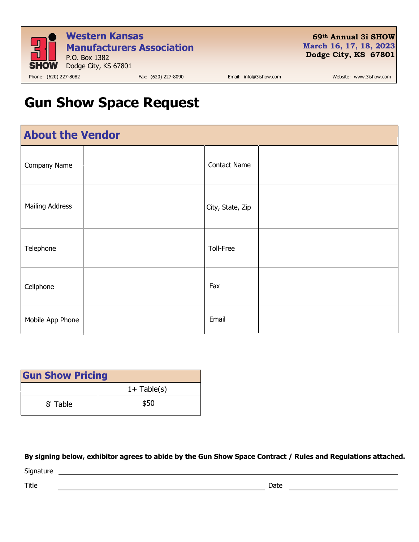

**69th Annual 3i SHOW March 16, 17, 18, 2023 Dodge City, KS 67801** 

## **Gun Show Space Request**

| <b>About the Vendor</b> |  |                     |  |  |
|-------------------------|--|---------------------|--|--|
| Company Name            |  | <b>Contact Name</b> |  |  |
| <b>Mailing Address</b>  |  | City, State, Zip    |  |  |
| Telephone               |  | Toll-Free           |  |  |
| Cellphone               |  | Fax                 |  |  |
| Mobile App Phone        |  | Email               |  |  |

| <b>Gun Show Pricing</b> |               |  |  |
|-------------------------|---------------|--|--|
|                         | $1+$ Table(s) |  |  |
| 8' Table                | \$50          |  |  |

**By signing below, exhibitor agrees to abide by the Gun Show Space Contract / Rules and Regulations attached.**

Signature